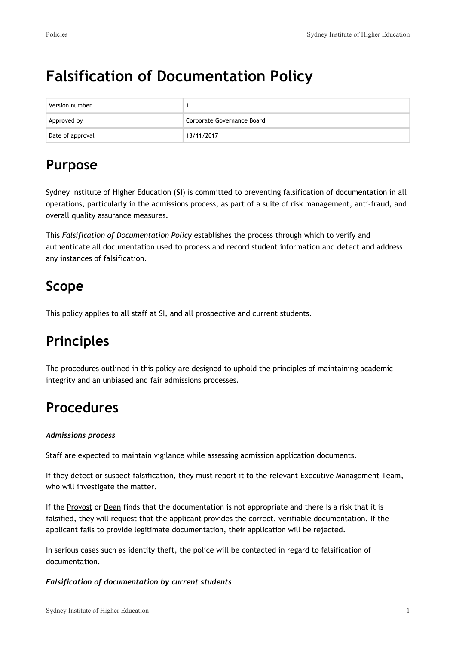# **Falsification of Documentation Policy**

| Version number   |                            |
|------------------|----------------------------|
| Approved by      | Corporate Governance Board |
| Date of approval | 13/11/2017                 |

## **Purpose**

Sydney Institute of Higher Education (**SI**) is committed to preventing falsification of documentation in all operations, particularly in the admissions process, as part of a suite of risk management, anti-fraud, and overall quality assurance measures.

This *Falsification of Documentation Policy* establishes the process through which to verify and authenticate all documentation used to process and record student information and detect and address any instances of falsification.

# **Scope**

This policy applies to all staff at SI, and all prospective and current students.

# **Principles**

The procedures outlined in this policy are designed to uphold the principles of maintaining academic integrity and an unbiased and fair admissions processes.

### **Procedures**

#### *Admissions process*

Staff are expected to maintain vigilance while assessing admission application documents.

If they detect or suspect falsification, they must report it to the relevant Executive Management Team, who will investigate the matter.

If the Provost or Dean finds that the documentation is not appropriate and there is a risk that it is falsified, they will request that the applicant provides the correct, verifiable documentation. If the applicant fails to provide legitimate documentation, their application will be rejected.

In serious cases such as identity theft, the police will be contacted in regard to falsification of documentation.

#### *Falsification of documentation by current students*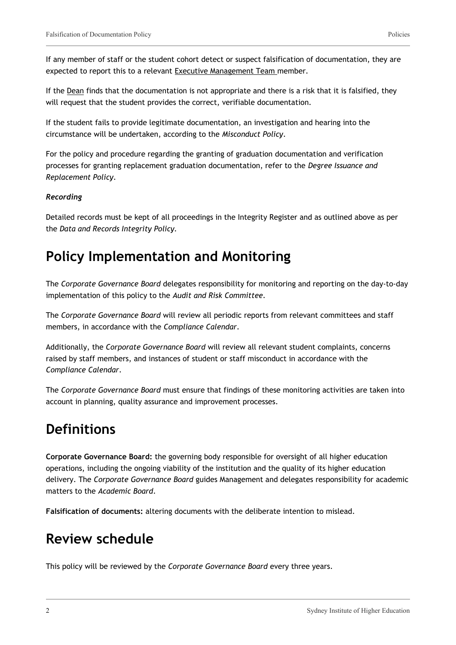If any member of staff or the student cohort detect or suspect falsification of documentation, they are expected to report this to a relevant Executive Management Team member.

If the Dean finds that the documentation is not appropriate and there is a risk that it is falsified, they will request that the student provides the correct, verifiable documentation.

If the student fails to provide legitimate documentation, an investigation and hearing into the circumstance will be undertaken, according to the *Misconduct Policy*.

For the policy and procedure regarding the granting of graduation documentation and verification processes for granting replacement graduation documentation, refer to the *Degree Issuance and Replacement Policy*.

#### *Recording*

Detailed records must be kept of all proceedings in the Integrity Register and as outlined above as per the *Data and Records Integrity Policy.*

### **Policy Implementation and Monitoring**

The *Corporate Governance Board* delegates responsibility for monitoring and reporting on the day-to-day implementation of this policy to the *Audit and Risk Committee.*

The *Corporate Governance Board* will review all periodic reports from relevant committees and staff members, in accordance with the *Compliance Calendar*.

Additionally, the *Corporate Governance Board* will review all relevant student complaints, concerns raised by staff members, and instances of student or staff misconduct in accordance with the *Compliance Calendar*.

The *Corporate Governance Board* must ensure that findings of these monitoring activities are taken into account in planning, quality assurance and improvement processes.

### **Definitions**

**Corporate Governance Board:** the governing body responsible for oversight of all higher education operations, including the ongoing viability of the institution and the quality of its higher education delivery. The *Corporate Governance Board* guides Management and delegates responsibility for academic matters to the *Academic Board*.

**Falsification of documents:** altering documents with the deliberate intention to mislead.

### **Review schedule**

This policy will be reviewed by the *Corporate Governance Board* every three years.